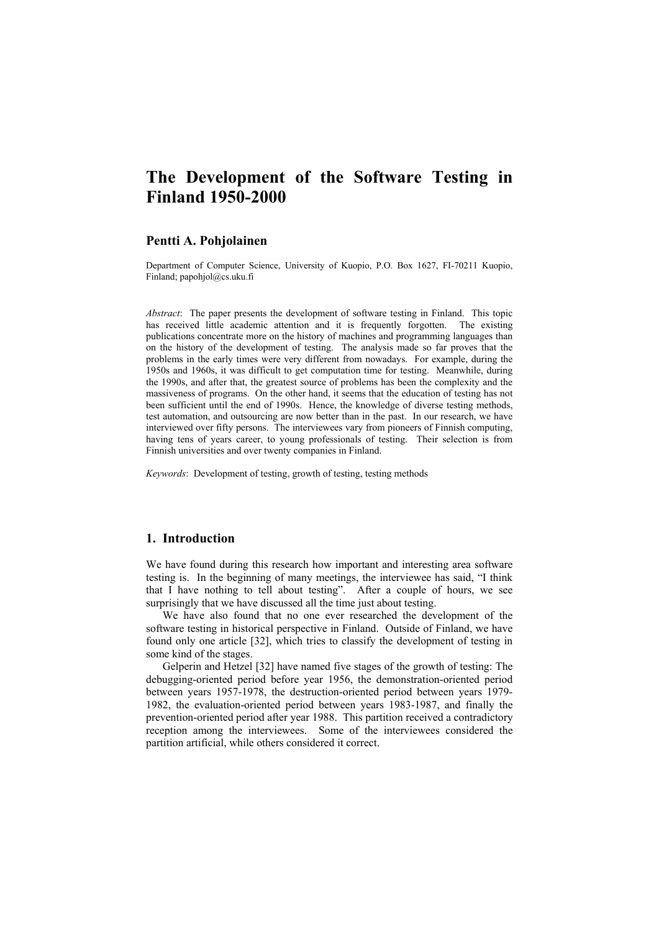# **The Development of the Software Testing in Finland 1950-2000**

#### **Pentti A. Pohjolainen**

Department of Computer Science, University of Kuopio, P.O. Box 1627, FI-70211 Kuopio, Finland; papohjol@cs.uku.fi

*Abstract*: The paper presents the development of software testing in Finland. This topic has received little academic attention and it is frequently forgotten. The existing publications concentrate more on the history of machines and programming languages than on the history of the development of testing. The analysis made so far proves that the problems in the early times were very different from nowadays. For example, during the 1950s and 1960s, it was difficult to get computation time for testing. Meanwhile, during the 1990s, and after that, the greatest source of problems has been the complexity and the massiveness of programs. On the other hand, it seems that the education of testing has not been sufficient until the end of 1990s. Hence, the knowledge of diverse testing methods, test automation, and outsourcing are now better than in the past. In our research, we have interviewed over fifty persons. The interviewees vary from pioneers of Finnish computing, having tens of years career, to young professionals of testing. Their selection is from Finnish universities and over twenty companies in Finland.

*Keywords*: Development of testing, growth of testing, testing methods

# **1. Introduction**

We have found during this research how important and interesting area software testing is. In the beginning of many meetings, the interviewee has said, "I think that I have nothing to tell about testing". After a couple of hours, we see surprisingly that we have discussed all the time just about testing.

We have also found that no one ever researched the development of the software testing in historical perspective in Finland. Outside of Finland, we have found only one article [32], which tries to classify the development of testing in some kind of the stages.

<span id="page-0-0"></span>Gelperin and Hetzel [32] have named five stages of the growth of testing: The debugging-oriented period before year 1956, the demonstration-oriented period between years 1957-1978, the destruction-oriented period between years 1979- 1982, the evaluation-oriented period between years 1983-1987, and finally the prevention-oriented period after year 1988. This partition received a contradictory reception among the interviewees. Some of the interviewees considered the partition artificial, while others considered it correct.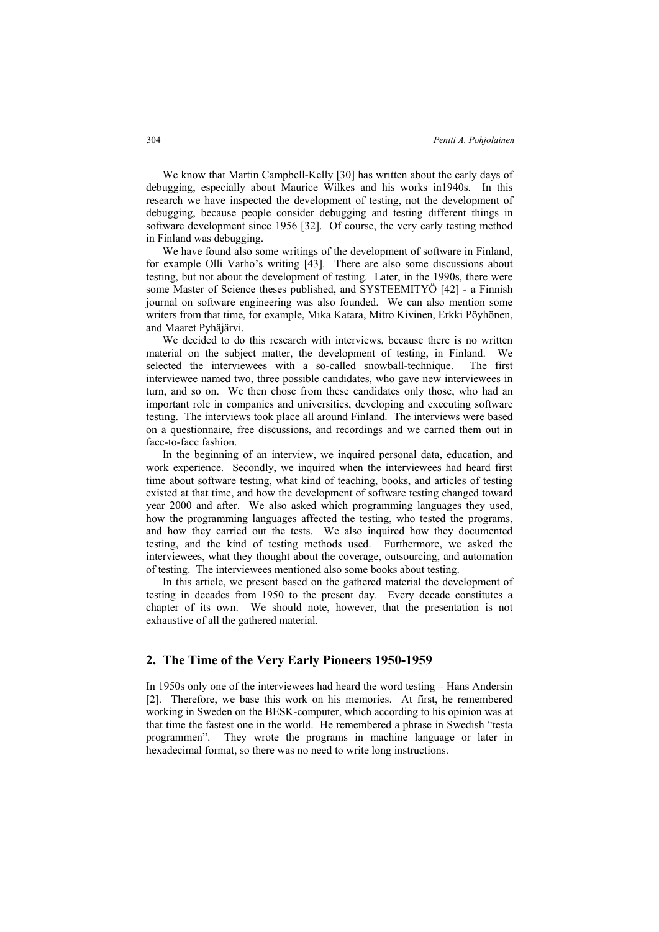We know that Martin Campbell-Kelly [30] has written about the early days of debugging, especially about Maurice Wilkes and his works in1940s. In this research we have inspected the development of testing, not the development of debugging, because people consider debugging and testing different things in software development since 1956 [32]. Of course, the very early testing method in Finland was debugging.

We have found also some writings of the development of software in Finland, for example Olli Varho's writing [43]. There are also some discussions about testing, but not about the development of testing. Later, in the 1990s, there were some Master of Science theses published, and SYSTEEMITYÖ [42] - a Finnish journal on software engineering was also founded. We can also mention some writers from that time, for example, Mika Katara, Mitro Kivinen, Erkki Pöyhönen, and Maaret Pyhäjärvi.

We decided to do this research with interviews, because there is no written material on the subject matter, the development of testing, in Finland. We selected the interviewees with a so-called snowball-technique. The first interviewee named two, three possible candidates, who gave new interviewees in turn, and so on. We then chose from these candidates only those, who had an important role in companies and universities, developing and executing software testing. The interviews took place all around Finland. The interviews were based on a questionnaire, free discussions, and recordings and we carried them out in face-to-face fashion.

In the beginning of an interview, we inquired personal data, education, and work experience. Secondly, we inquired when the interviewees had heard first time about software testing, what kind of teaching, books, and articles of testing existed at that time, and how the development of software testing changed toward year 2000 and after. We also asked which programming languages they used, how the programming languages affected the testing, who tested the programs, and how they carried out the tests. We also inquired how they documented testing, and the kind of testing methods used. Furthermore, we asked the interviewees, what they thought about the coverage, outsourcing, and automation of testing. The interviewees mentioned also some books about testing.

In this article, we present based on the gathered material the development of testing in decades from 1950 to the present day. Every decade constitutes a chapter of its own. We should note, however, that the presentation is not exhaustive of all the gathered material.

# **2. The Time of the Very Early Pioneers 1950-1959**

In 1950s only one of the interviewees had heard the word testing – Hans Andersin [2]. Therefore, we base this work on his memories. At first, he remembered working in Sweden on the BESK-computer, which according to his opinion was at that time the fastest one in the world. He remembered a phrase in Swedish "testa programmen". They wrote the programs in machine language or later in hexadecimal format, so there was no need to write long instructions.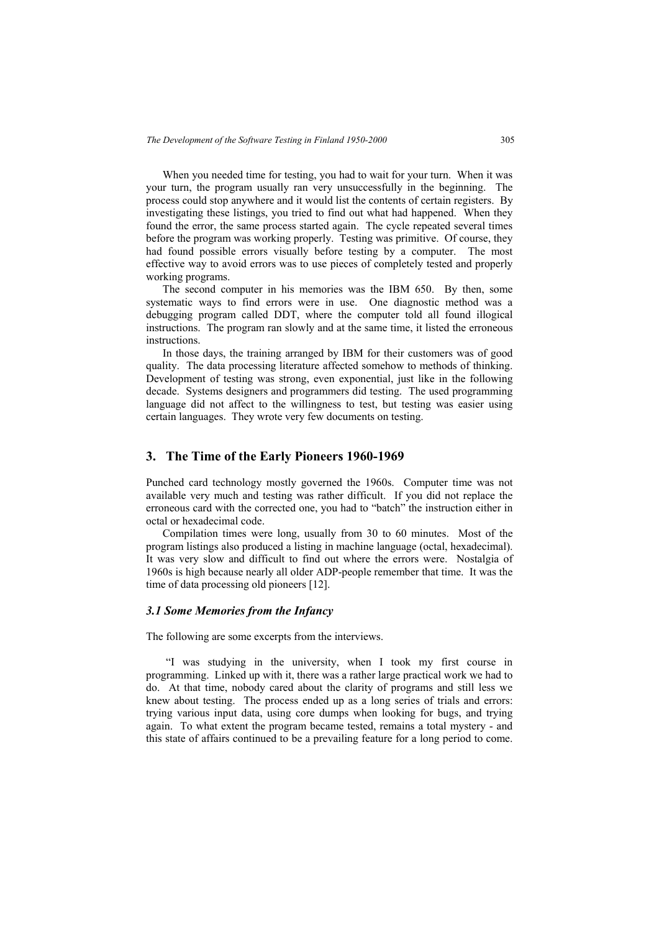When you needed time for testing, you had to wait for your turn. When it was your turn, the program usually ran very unsuccessfully in the beginning. The process could stop anywhere and it would list the contents of certain registers. By investigating these listings, you tried to find out what had happened. When they found the error, the same process started again. The cycle repeated several times before the program was working properly. Testing was primitive. Of course, they had found possible errors visually before testing by a computer. The most effective way to avoid errors was to use pieces of completely tested and properly working programs.

The second computer in his memories was the IBM 650. By then, some systematic ways to find errors were in use. One diagnostic method was a debugging program called DDT, where the computer told all found illogical instructions. The program ran slowly and at the same time, it listed the erroneous instructions.

In those days, the training arranged by IBM for their customers was of good quality. The data processing literature affected somehow to methods of thinking. Development of testing was strong, even exponential, just like in the following decade. Systems designers and programmers did testing. The used programming language did not affect to the willingness to test, but testing was easier using certain languages. They wrote very few documents on testing.

#### **3. The Time of the Early Pioneers 1960-1969**

Punched card technology mostly governed the 1960s. Computer time was not available very much and testing was rather difficult. If you did not replace the erroneous card with the corrected one, you had to "batch" the instruction either in octal or hexadecimal code.

Compilation times were long, usually from 30 to 60 minutes. Most of the program listings also produced a listing in machine language (octal, hexadecimal). It was very slow and difficult to find out where the errors were. Nostalgia of 1960s is high because nearly all older ADP-people remember that time. It was the time of data processing old pioneers [12].

### *3.1 Some Memories from the Infancy*

The following are some excerpts from the interviews.

"I was studying in the university, when I took my first course in programming. Linked up with it, there was a rather large practical work we had to do. At that time, nobody cared about the clarity of programs and still less we knew about testing. The process ended up as a long series of trials and errors: trying various input data, using core dumps when looking for bugs, and trying again. To what extent the program became tested, remains a total mystery - and this state of affairs continued to be a prevailing feature for a long period to come.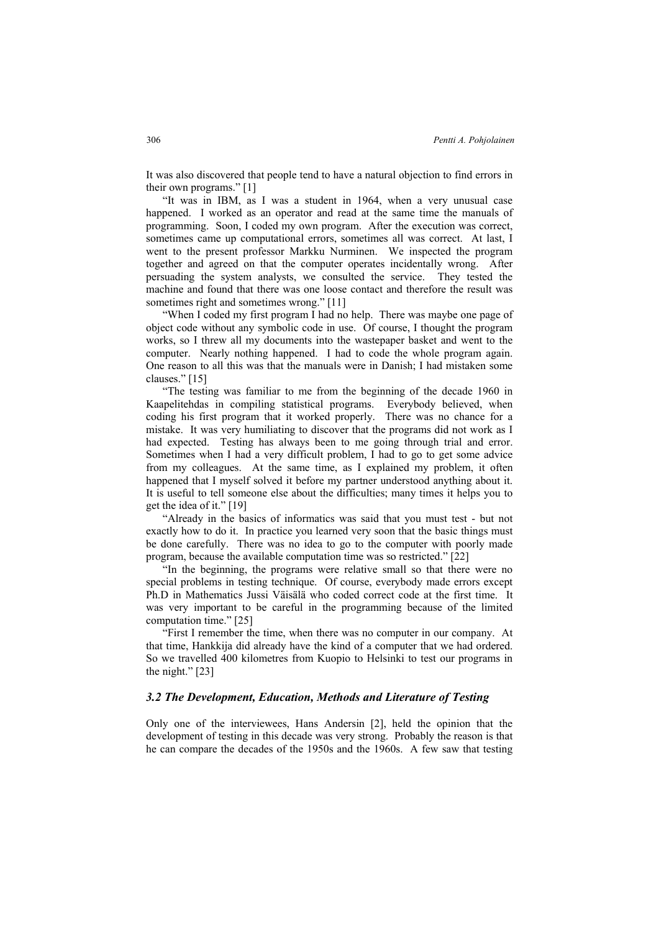It was also discovered that people tend to have a natural objection to find errors in their own programs." [1]

"It was in IBM, as I was a student in 1964, when a very unusual case happened. I worked as an operator and read at the same time the manuals of programming. Soon, I coded my own program. After the execution was correct, sometimes came up computational errors, sometimes all was correct. At last, I went to the present professor Markku Nurminen. We inspected the program together and agreed on that the computer operates incidentally wrong. After persuading the system analysts, we consulted the service. They tested the machine and found that there was one loose contact and therefore the result was sometimes right and sometimes wrong." [11]

"When I coded my first program I had no help. There was maybe one page of object code without any symbolic code in use. Of course, I thought the program works, so I threw all my documents into the wastepaper basket and went to the computer. Nearly nothing happened. I had to code the whole program again. One reason to all this was that the manuals were in Danish; I had mistaken some clauses." [15]

"The testing was familiar to me from the beginning of the decade 1960 in Kaapelitehdas in compiling statistical programs. Everybody believed, when coding his first program that it worked properly. There was no chance for a mistake. It was very humiliating to discover that the programs did not work as I had expected. Testing has always been to me going through trial and error. Sometimes when I had a very difficult problem, I had to go to get some advice from my colleagues. At the same time, as I explained my problem, it often happened that I myself solved it before my partner understood anything about it. It is useful to tell someone else about the difficulties; many times it helps you to get the idea of it." [19]

"Already in the basics of informatics was said that you must test - but not exactly how to do it. In practice you learned very soon that the basic things must be done carefully. There was no idea to go to the computer with poorly made program, because the available computation time was so restricted." [22]

"In the beginning, the programs were relative small so that there were no special problems in testing technique. Of course, everybody made errors except Ph.D in Mathematics Jussi Väisälä who coded correct code at the first time. It was very important to be careful in the programming because of the limited computation time." [25]

"First I remember the time, when there was no computer in our company. At that time, Hankkija did already have the kind of a computer that we had ordered. So we travelled 400 kilometres from Kuopio to Helsinki to test our programs in the night." [23]

## *3.2 The Development, Education, Methods and Literature of Testing*

Only one of the interviewees, Hans Andersin [2], held the opinion that the development of testing in this decade was very strong. Probably the reason is that he can compare the decades of the 1950s and the 1960s. A few saw that testing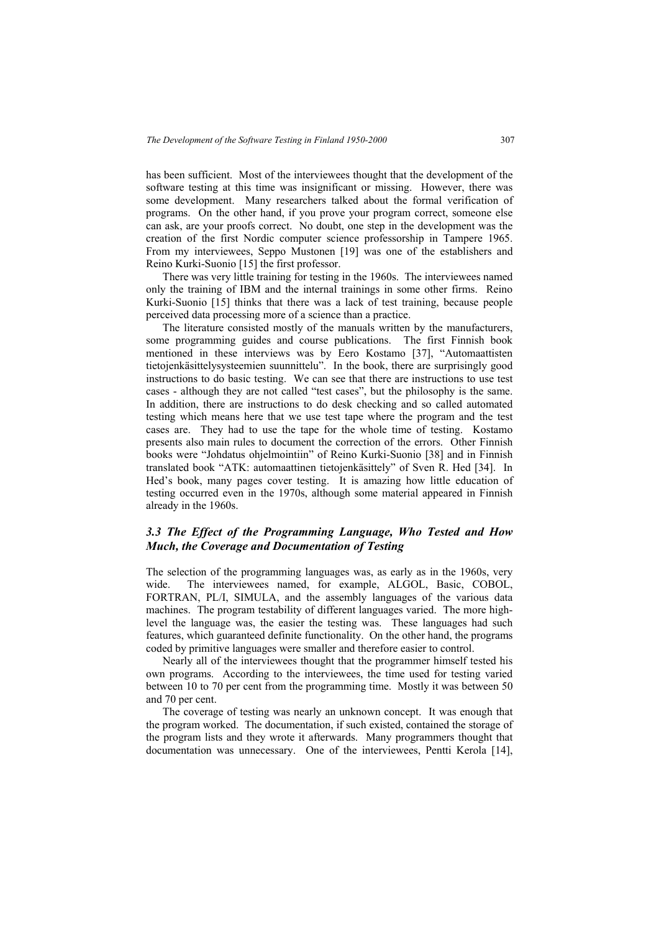has been sufficient. Most of the interviewees thought that the development of the software testing at this time was insignificant or missing. However, there was some development. Many researchers talked about the formal verification of programs. On the other hand, if you prove your program correct, someone else can ask, are your proofs correct. No doubt, one step in the development was the creation of the first Nordic computer science professorship in Tampere 1965. From my interviewees, Seppo Mustonen [19] was one of the establishers and Reino Kurki-Suonio [15] the first professor.

There was very little training for testing in the 1960s. The interviewees named only the training of IBM and the internal trainings in some other firms. Reino Kurki-Suonio [15] thinks that there was a lack of test training, because people perceived data processing more of a science than a practice.

The literature consisted mostly of the manuals written by the manufacturers, some programming guides and course publications. The first Finnish book mentioned in these interviews was by Eero Kostamo [37], "Automaattisten tietojenkäsittelysysteemien suunnittelu". In the book, there are surprisingly good instructions to do basic testing. We can see that there are instructions to use test cases - although they are not called "test cases", but the philosophy is the same. In addition, there are instructions to do desk checking and so called automated testing which means here that we use test tape where the program and the test cases are. They had to use the tape for the whole time of testing. Kostamo presents also main rules to document the correction of the errors. Other Finnish books were "Johdatus ohjelmointiin" of Reino Kurki-Suonio [38] and in Finnish translated book "ATK: automaattinen tietojenkäsittely" of Sven R. Hed [34]. In Hed's book, many pages cover testing. It is amazing how little education of testing occurred even in the 1970s, although some material appeared in Finnish already in the 1960s.

# *3.3 The Effect of the Programming Language, Who Tested and How Much, the Coverage and Documentation of Testing*

The selection of the programming languages was, as early as in the 1960s, very wide. The interviewees named, for example, ALGOL, Basic, COBOL, FORTRAN, PL/I, SIMULA, and the assembly languages of the various data machines. The program testability of different languages varied. The more highlevel the language was, the easier the testing was. These languages had such features, which guaranteed definite functionality. On the other hand, the programs coded by primitive languages were smaller and therefore easier to control.

Nearly all of the interviewees thought that the programmer himself tested his own programs. According to the interviewees, the time used for testing varied between 10 to 70 per cent from the programming time. Mostly it was between 50 and 70 per cent.

The coverage of testing was nearly an unknown concept. It was enough that the program worked. The documentation, if such existed, contained the storage of the program lists and they wrote it afterwards. Many programmers thought that documentation was unnecessary. One of the interviewees, Pentti Kerola [14],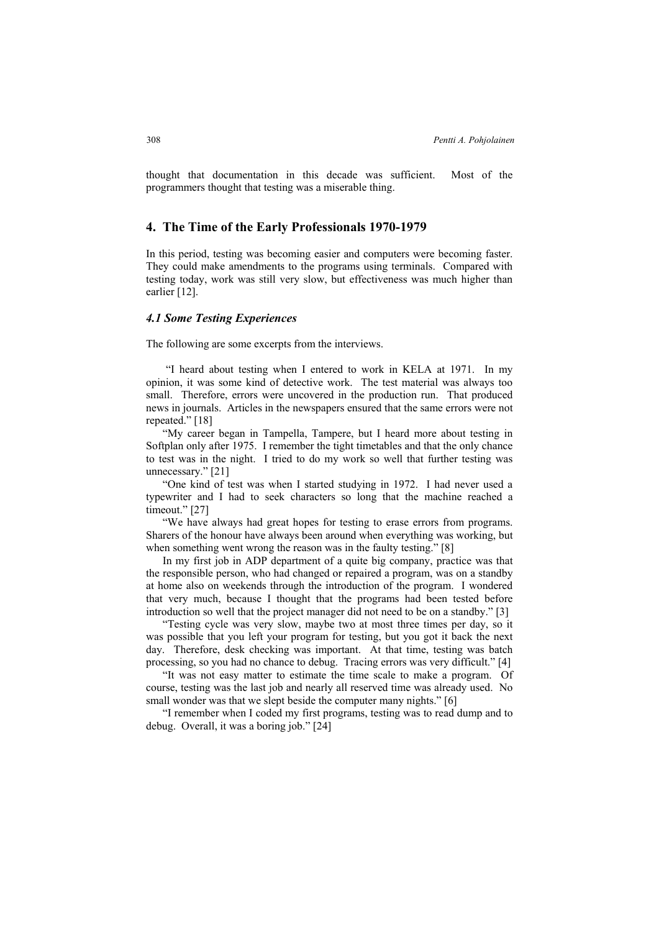thought that documentation in this decade was sufficient. Most of the programmers thought that testing was a miserable thing.

# **4. The Time of the Early Professionals 1970-1979**

In this period, testing was becoming easier and computers were becoming faster. They could make amendments to the programs using terminals. Compared with testing today, work was still very slow, but effectiveness was much higher than earlier [12].

#### *4.1 Some Testing Experiences*

The following are some excerpts from the interviews.

"I heard about testing when I entered to work in KELA at 1971. In my opinion, it was some kind of detective work. The test material was always too small. Therefore, errors were uncovered in the production run. That produced news in journals. Articles in the newspapers ensured that the same errors were not repeated." [18]

"My career began in Tampella, Tampere, but I heard more about testing in Softplan only after 1975. I remember the tight timetables and that the only chance to test was in the night. I tried to do my work so well that further testing was unnecessary." [21]

"One kind of test was when I started studying in 1972. I had never used a typewriter and I had to seek characters so long that the machine reached a timeout." [27]

"We have always had great hopes for testing to erase errors from programs. Sharers of the honour have always been around when everything was working, but when something went wrong the reason was in the faulty testing." [8]

In my first job in ADP department of a quite big company, practice was that the responsible person, who had changed or repaired a program, was on a standby at home also on weekends through the introduction of the program. I wondered that very much, because I thought that the programs had been tested before introduction so well that the project manager did not need to be on a standby." [3]

"Testing cycle was very slow, maybe two at most three times per day, so it was possible that you left your program for testing, but you got it back the next day. Therefore, desk checking was important. At that time, testing was batch processing, so you had no chance to debug. Tracing errors was very difficult." [4]

"It was not easy matter to estimate the time scale to make a program. Of course, testing was the last job and nearly all reserved time was already used. No small wonder was that we slept beside the computer many nights." [6]

"I remember when I coded my first programs, testing was to read dump and to debug. Overall, it was a boring job." [24]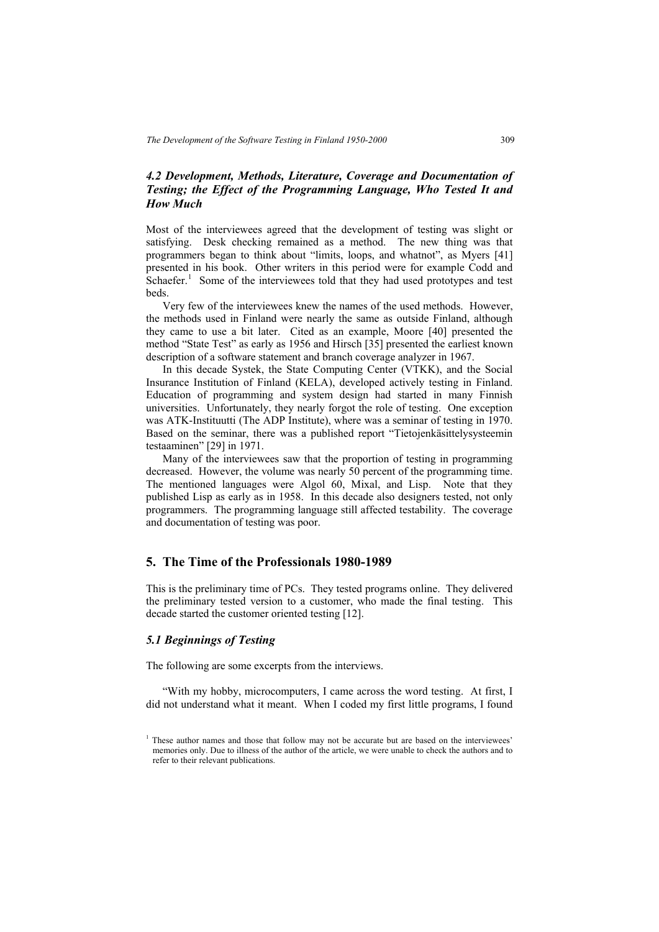# *4.2 Development, Methods, Literature, Coverage and Documentation of Testing; the Effect of the Programming Language, Who Tested It and How Much*

Most of the interviewees agreed that the development of testing was slight or satisfying. Desk checking remained as a method. The new thing was that programmers began to think about "limits, loops, and whatnot", as Myers [41] presented in his book. Other writers in this period were for example Codd and Schaefer.<sup>[1](#page-0-0)</sup> Some of the interviewees told that they had used prototypes and test beds.

Very few of the interviewees knew the names of the used methods. However, the methods used in Finland were nearly the same as outside Finland, although they came to use a bit later. Cited as an example, Moore [40] presented the method "State Test" as early as 1956 and Hirsch [35] presented the earliest known description of a software statement and branch coverage analyzer in 1967.

In this decade Systek, the State Computing Center (VTKK), and the Social Insurance Institution of Finland (KELA), developed actively testing in Finland. Education of programming and system design had started in many Finnish universities. Unfortunately, they nearly forgot the role of testing. One exception was ATK-Instituutti (The ADP Institute), where was a seminar of testing in 1970. Based on the seminar, there was a published report "Tietojenkäsittelysysteemin testaaminen" [29] in 1971.

Many of the interviewees saw that the proportion of testing in programming decreased. However, the volume was nearly 50 percent of the programming time. The mentioned languages were Algol 60, Mixal, and Lisp. Note that they published Lisp as early as in 1958. In this decade also designers tested, not only programmers. The programming language still affected testability. The coverage and documentation of testing was poor.

# **5. The Time of the Professionals 1980-1989**

This is the preliminary time of PCs. They tested programs online. They delivered the preliminary tested version to a customer, who made the final testing. This decade started the customer oriented testing [12].

## *5.1 Beginnings of Testing*

The following are some excerpts from the interviews.

"With my hobby, microcomputers, I came across the word testing. At first, I did not understand what it meant. When I coded my first little programs, I found

<sup>&</sup>lt;sup>1</sup> These author names and those that follow may not be accurate but are based on the interviewees' memories only. Due to illness of the author of the article, we were unable to check the authors and to refer to their relevant publications.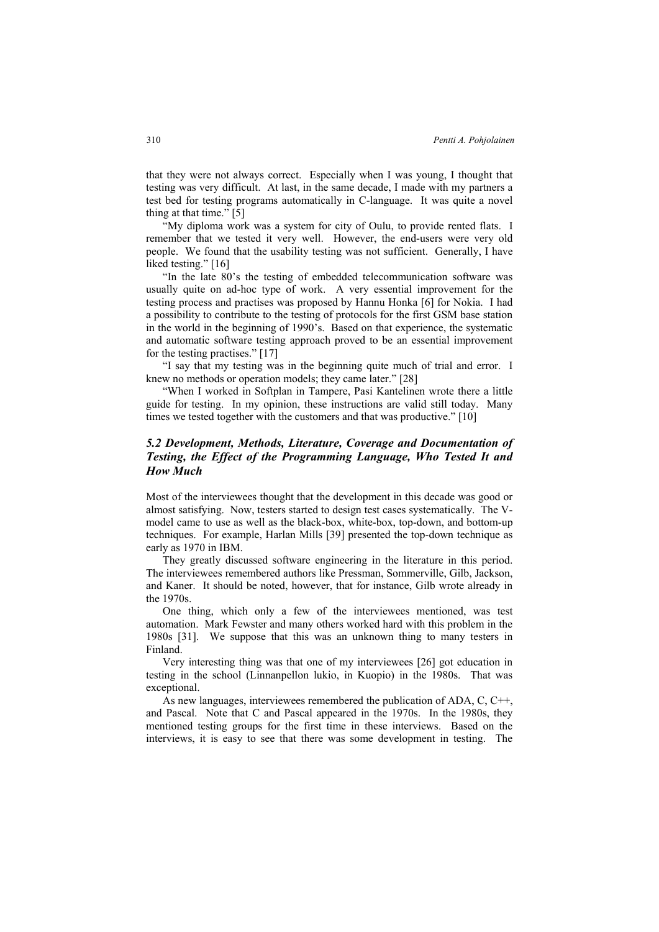that they were not always correct. Especially when I was young, I thought that testing was very difficult. At last, in the same decade, I made with my partners a test bed for testing programs automatically in C-language. It was quite a novel thing at that time." [5]

"My diploma work was a system for city of Oulu, to provide rented flats. I remember that we tested it very well. However, the end-users were very old people. We found that the usability testing was not sufficient. Generally, I have liked testing." [16]

"In the late 80's the testing of embedded telecommunication software was usually quite on ad-hoc type of work. A very essential improvement for the testing process and practises was proposed by Hannu Honka [6] for Nokia. I had a possibility to contribute to the testing of protocols for the first GSM base station in the world in the beginning of 1990's. Based on that experience, the systematic and automatic software testing approach proved to be an essential improvement for the testing practises." [17]

"I say that my testing was in the beginning quite much of trial and error. I knew no methods or operation models; they came later." [28]

"When I worked in Softplan in Tampere, Pasi Kantelinen wrote there a little guide for testing. In my opinion, these instructions are valid still today. Many times we tested together with the customers and that was productive." [10]

# *5.2 Development, Methods, Literature, Coverage and Documentation of Testing, the Effect of the Programming Language, Who Tested It and How Much*

Most of the interviewees thought that the development in this decade was good or almost satisfying. Now, testers started to design test cases systematically. The Vmodel came to use as well as the black-box, white-box, top-down, and bottom-up techniques. For example, Harlan Mills [39] presented the top-down technique as early as 1970 in IBM.

They greatly discussed software engineering in the literature in this period. The interviewees remembered authors like Pressman, Sommerville, Gilb, Jackson, and Kaner. It should be noted, however, that for instance, Gilb wrote already in the 1970s.

One thing, which only a few of the interviewees mentioned, was test automation. Mark Fewster and many others worked hard with this problem in the 1980s [31]. We suppose that this was an unknown thing to many testers in Finland.

Very interesting thing was that one of my interviewees [26] got education in testing in the school (Linnanpellon lukio, in Kuopio) in the 1980s. That was exceptional.

As new languages, interviewees remembered the publication of ADA, C, C++, and Pascal. Note that C and Pascal appeared in the 1970s. In the 1980s, they mentioned testing groups for the first time in these interviews. Based on the interviews, it is easy to see that there was some development in testing. The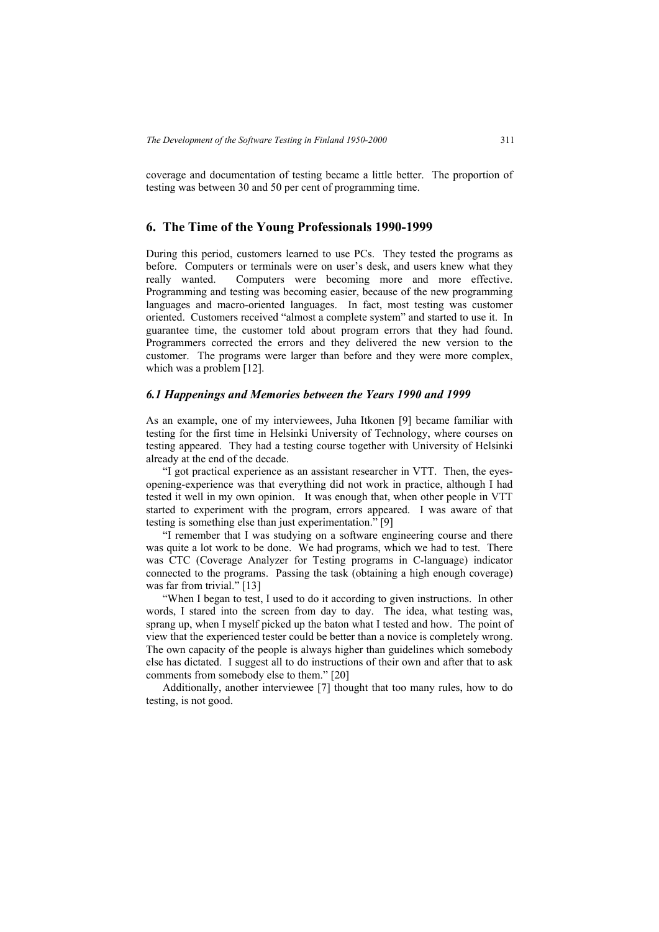coverage and documentation of testing became a little better. The proportion of testing was between 30 and 50 per cent of programming time.

# **6. The Time of the Young Professionals 1990-1999**

During this period, customers learned to use PCs. They tested the programs as before. Computers or terminals were on user's desk, and users knew what they really wanted. Computers were becoming more and more effective. Programming and testing was becoming easier, because of the new programming languages and macro-oriented languages. In fact, most testing was customer oriented. Customers received "almost a complete system" and started to use it. In guarantee time, the customer told about program errors that they had found. Programmers corrected the errors and they delivered the new version to the customer. The programs were larger than before and they were more complex, which was a problem [12].

#### *6.1 Happenings and Memories between the Years 1990 and 1999*

As an example, one of my interviewees, Juha Itkonen [9] became familiar with testing for the first time in Helsinki University of Technology, where courses on testing appeared. They had a testing course together with University of Helsinki already at the end of the decade.

"I got practical experience as an assistant researcher in VTT. Then, the eyesopening-experience was that everything did not work in practice, although I had tested it well in my own opinion. It was enough that, when other people in VTT started to experiment with the program, errors appeared. I was aware of that testing is something else than just experimentation." [9]

"I remember that I was studying on a software engineering course and there was quite a lot work to be done. We had programs, which we had to test. There was CTC (Coverage Analyzer for Testing programs in C-language) indicator connected to the programs. Passing the task (obtaining a high enough coverage) was far from trivial." [13]

"When I began to test, I used to do it according to given instructions. In other words, I stared into the screen from day to day. The idea, what testing was, sprang up, when I myself picked up the baton what I tested and how. The point of view that the experienced tester could be better than a novice is completely wrong. The own capacity of the people is always higher than guidelines which somebody else has dictated. I suggest all to do instructions of their own and after that to ask comments from somebody else to them." [20]

Additionally, another interviewee [7] thought that too many rules, how to do testing, is not good.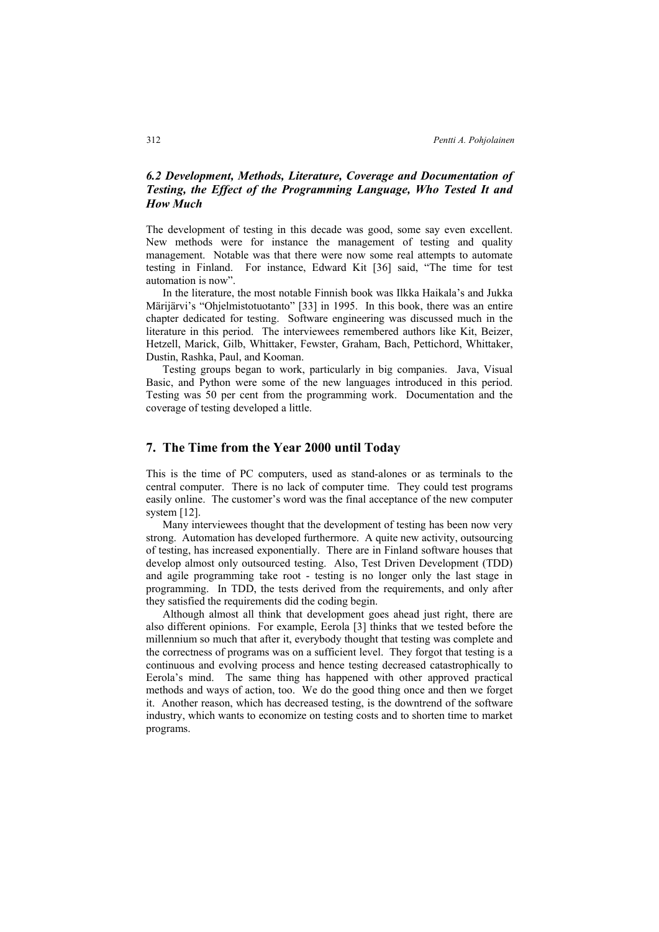# *6.2 Development, Methods, Literature, Coverage and Documentation of Testing, the Effect of the Programming Language, Who Tested It and How Much*

The development of testing in this decade was good, some say even excellent. New methods were for instance the management of testing and quality management. Notable was that there were now some real attempts to automate testing in Finland. For instance, Edward Kit [36] said, "The time for test automation is now".

In the literature, the most notable Finnish book was Ilkka Haikala's and Jukka Märijärvi's "Ohjelmistotuotanto" [33] in 1995. In this book, there was an entire chapter dedicated for testing. Software engineering was discussed much in the literature in this period. The interviewees remembered authors like Kit, Beizer, Hetzell, Marick, Gilb, Whittaker, Fewster, Graham, Bach, Pettichord, Whittaker, Dustin, Rashka, Paul, and Kooman.

Testing groups began to work, particularly in big companies. Java, Visual Basic, and Python were some of the new languages introduced in this period. Testing was 50 per cent from the programming work. Documentation and the coverage of testing developed a little.

#### **7. The Time from the Year 2000 until Today**

This is the time of PC computers, used as stand-alones or as terminals to the central computer. There is no lack of computer time. They could test programs easily online. The customer's word was the final acceptance of the new computer system [12].

Many interviewees thought that the development of testing has been now very strong. Automation has developed furthermore. A quite new activity, outsourcing of testing, has increased exponentially. There are in Finland software houses that develop almost only outsourced testing. Also, Test Driven Development (TDD) and agile programming take root - testing is no longer only the last stage in programming. In TDD, the tests derived from the requirements, and only after they satisfied the requirements did the coding begin.

Although almost all think that development goes ahead just right, there are also different opinions. For example, Eerola [3] thinks that we tested before the millennium so much that after it, everybody thought that testing was complete and the correctness of programs was on a sufficient level. They forgot that testing is a continuous and evolving process and hence testing decreased catastrophically to Eerola's mind. The same thing has happened with other approved practical methods and ways of action, too. We do the good thing once and then we forget it. Another reason, which has decreased testing, is the downtrend of the software industry, which wants to economize on testing costs and to shorten time to market programs.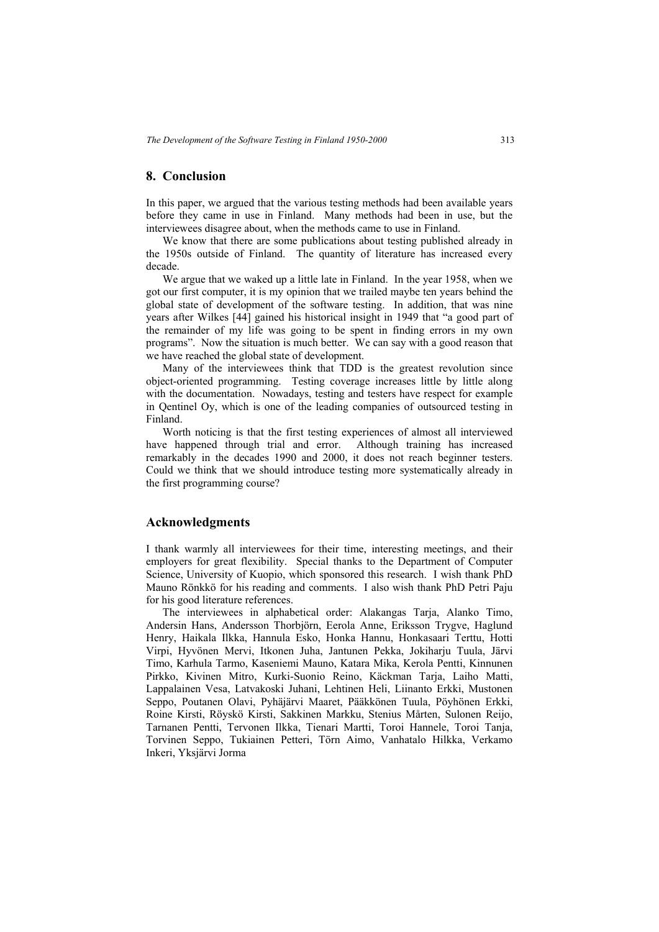# **8. Conclusion**

In this paper, we argued that the various testing methods had been available years before they came in use in Finland. Many methods had been in use, but the interviewees disagree about, when the methods came to use in Finland.

We know that there are some publications about testing published already in the 1950s outside of Finland. The quantity of literature has increased every decade.

We argue that we waked up a little late in Finland. In the year 1958, when we got our first computer, it is my opinion that we trailed maybe ten years behind the global state of development of the software testing. In addition, that was nine years after Wilkes [44] gained his historical insight in 1949 that "a good part of the remainder of my life was going to be spent in finding errors in my own programs". Now the situation is much better. We can say with a good reason that we have reached the global state of development.

Many of the interviewees think that TDD is the greatest revolution since object-oriented programming. Testing coverage increases little by little along with the documentation. Nowadays, testing and testers have respect for example in Qentinel Oy, which is one of the leading companies of outsourced testing in Finland.

Worth noticing is that the first testing experiences of almost all interviewed have happened through trial and error. Although training has increased remarkably in the decades 1990 and 2000, it does not reach beginner testers. Could we think that we should introduce testing more systematically already in the first programming course?

#### **Acknowledgments**

I thank warmly all interviewees for their time, interesting meetings, and their employers for great flexibility. Special thanks to the Department of Computer Science, University of Kuopio, which sponsored this research. I wish thank PhD Mauno Rönkkö for his reading and comments. I also wish thank PhD Petri Paju for his good literature references.

The interviewees in alphabetical order: Alakangas Tarja, Alanko Timo, Andersin Hans, Andersson Thorbjörn, Eerola Anne, Eriksson Trygve, Haglund Henry, Haikala Ilkka, Hannula Esko, Honka Hannu, Honkasaari Terttu, Hotti Virpi, Hyvönen Mervi, Itkonen Juha, Jantunen Pekka, Jokiharju Tuula, Järvi Timo, Karhula Tarmo, Kaseniemi Mauno, Katara Mika, Kerola Pentti, Kinnunen Pirkko, Kivinen Mitro, Kurki-Suonio Reino, Käckman Tarja, Laiho Matti, Lappalainen Vesa, Latvakoski Juhani, Lehtinen Heli, Liinanto Erkki, Mustonen Seppo, Poutanen Olavi, Pyhäjärvi Maaret, Pääkkönen Tuula, Pöyhönen Erkki, Roine Kirsti, Röyskö Kirsti, Sakkinen Markku, Stenius Mårten, Sulonen Reijo, Tarnanen Pentti, Tervonen Ilkka, Tienari Martti, Toroi Hannele, Toroi Tanja, Torvinen Seppo, Tukiainen Petteri, Törn Aimo, Vanhatalo Hilkka, Verkamo Inkeri, Yksjärvi Jorma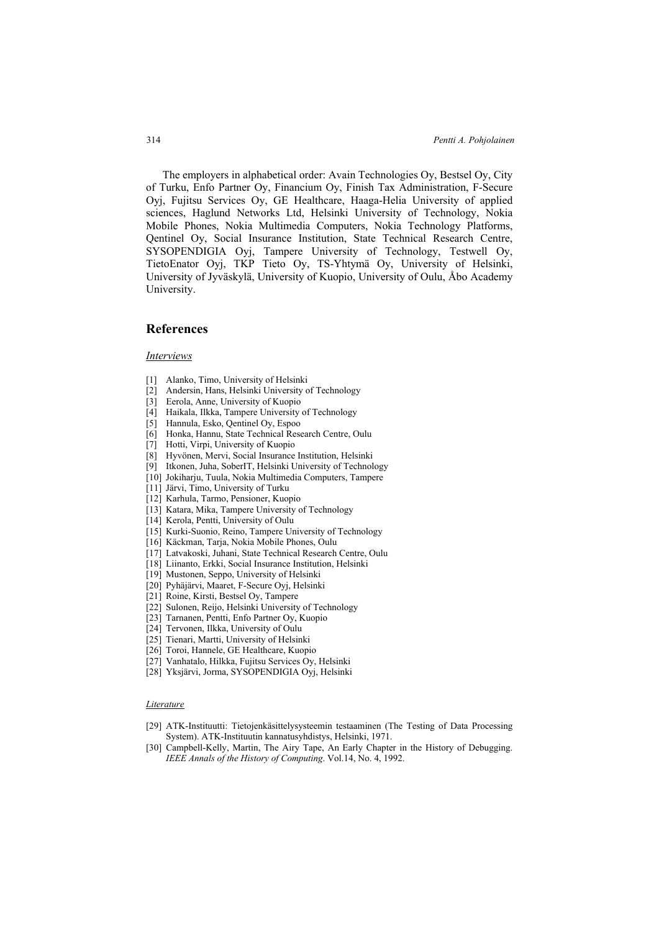The employers in alphabetical order: Avain Technologies Oy, Bestsel Oy, City of Turku, Enfo Partner Oy, Financium Oy, Finish Tax Administration, F-Secure Oyj, Fujitsu Services Oy, GE Healthcare, Haaga-Helia University of applied sciences, Haglund Networks Ltd, Helsinki University of Technology, Nokia Mobile Phones, Nokia Multimedia Computers, Nokia Technology Platforms, Qentinel Oy, Social Insurance Institution, State Technical Research Centre, SYSOPENDIGIA Oyj, Tampere University of Technology, Testwell Oy, TietoEnator Oyj, TKP Tieto Oy, TS-Yhtymä Oy, University of Helsinki, University of Jyväskylä, University of Kuopio, University of Oulu, Åbo Academy University.

#### **References**

#### *Interviews*

- [1] Alanko, Timo, University of Helsinki
- [2] Andersin, Hans, Helsinki University of Technology
- [3] Eerola, Anne, University of Kuopio
- [4] Haikala, Ilkka, Tampere University of Technology
- [5] Hannula, Esko, Qentinel Oy, Espoo
- [6] Honka, Hannu, State Technical Research Centre, Oulu
- [7] Hotti, Virpi, University of Kuopio
- [8] Hyvönen, Mervi, Social Insurance Institution, Helsinki
- [9] Itkonen, Juha, SoberIT, Helsinki University of Technology
- [10] Jokiharju, Tuula, Nokia Multimedia Computers, Tampere
- [11] Järvi, Timo, University of Turku
- [12] Karhula, Tarmo, Pensioner, Kuopio
- [13] Katara, Mika, Tampere University of Technology
- [14] Kerola, Pentti, University of Oulu
- [15] Kurki-Suonio, Reino, Tampere University of Technology
- [16] Käckman, Tarja, Nokia Mobile Phones, Oulu
- [17] Latvakoski, Juhani, State Technical Research Centre, Oulu
- [18] Liinanto, Erkki, Social Insurance Institution, Helsinki
- [19] Mustonen, Seppo, University of Helsinki
- [20] Pyhäjärvi, Maaret, F-Secure Oyj, Helsinki
- [21] Roine, Kirsti, Bestsel Oy, Tampere
- [22] Sulonen, Reijo, Helsinki University of Technology
- [23] Tarnanen, Pentti, Enfo Partner Oy, Kuopio
- [24] Tervonen, Ilkka, University of Oulu
- [25] Tienari, Martti, University of Helsinki
- [26] Toroi, Hannele, GE Healthcare, Kuopio
- [27] Vanhatalo, Hilkka, Fujitsu Services Oy, Helsinki
- [28] Yksjärvi, Jorma, SYSOPENDIGIA Oyj, Helsinki

#### *Literature*

- [29] ATK-Instituutti: Tietojenkäsittelysysteemin testaaminen (The Testing of Data Processing System). ATK-Instituutin kannatusyhdistys, Helsinki, 1971.
- [30] Campbell-Kelly, Martin, The Airy Tape, An Early Chapter in the History of Debugging. *IEEE Annals of the History of Computing*. Vol.14, No. 4, 1992.